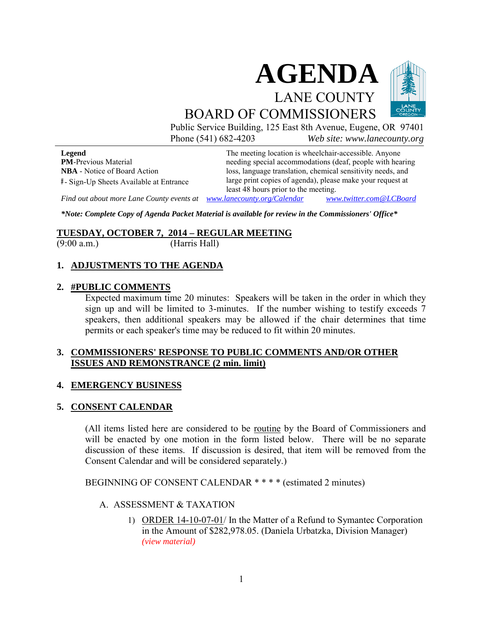

Public Service Building, 125 East 8th Avenue, Eugene, OR 97401 Phone (541) 682-4203 *Web site: www.lanecounty.org*

**Legend PM**-Previous Material **NBA** - Notice of Board Action **#** - Sign-Up Sheets Available at Entrance

The meeting location is wheelchair-accessible. Anyone needing special accommodations (deaf, people with hearing loss, language translation, chemical sensitivity needs, and large print copies of agenda), please make your request at least 48 hours prior to the meeting.

*Find out about more Lane County events at [www.lanecounty.org/Calendar](http://www.lanecounty.org/Calendar) [www.twitter.com@LCBoard](http://www.twitter.com@lcboard/)*

*\*Note: Complete Copy of Agenda Packet Material is available for review in the Commissioners' Office\**

# **TUESDAY, OCTOBER 7, 2014 – REGULAR MEETING**<br>(9:00 a.m.) (Harris Hall)

(Harris Hall)

#### **1. ADJUSTMENTS TO THE AGENDA**

#### **2. #PUBLIC COMMENTS**

Expected maximum time 20 minutes: Speakers will be taken in the order in which they sign up and will be limited to 3-minutes. If the number wishing to testify exceeds 7 speakers, then additional speakers may be allowed if the chair determines that time permits or each speaker's time may be reduced to fit within 20 minutes.

#### **3. COMMISSIONERS' RESPONSE TO PUBLIC COMMENTS AND/OR OTHER ISSUES AND REMONSTRANCE (2 min. limit)**

#### **4. EMERGENCY BUSINESS**

#### **5. CONSENT CALENDAR**

(All items listed here are considered to be routine by the Board of Commissioners and will be enacted by one motion in the form listed below. There will be no separate discussion of these items. If discussion is desired, that item will be removed from the Consent Calendar and will be considered separately.)

BEGINNING OF CONSENT CALENDAR \* \* \* \* (estimated 2 minutes)

#### A. ASSESSMENT & TAXATION

1) ORDER 14-10-07-01/ In the Matter of a Refund to Symantec Corporation in the Amount of \$282,978.05. (Daniela Urbatzka, Division Manager) *[\(view material\)](http://www.lanecounty.org/UserFiles/Servers/Server_3585797/File/Government/BCC/2014/2014_AGENDAS/100714agenda/T.5.A.1.pdf)*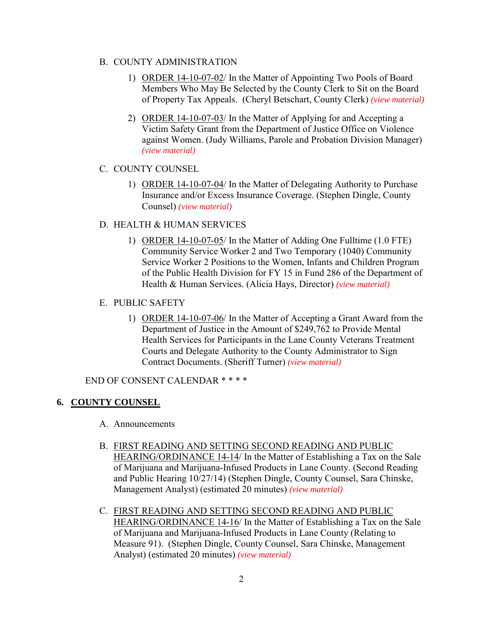#### B. COUNTY ADMINISTRATION

- 1) ORDER 14-10-07-02/ In the Matter of Appointing Two Pools of Board Members Who May Be Selected by the County Clerk to Sit on the Board of Property Tax Appeals. (Cheryl Betschart, County Clerk) *[\(view material\)](http://www.lanecounty.org/UserFiles/Servers/Server_3585797/File/Government/BCC/2014/2014_AGENDAS/100714agenda/T.5.B.1.pdf)*
- 2) ORDER 14-10-07-03/ In the Matter of Applying for and Accepting a Victim Safety Grant from the Department of Justice Office on Violence against Women. (Judy Williams, Parole and Probation Division Manager) *[\(view material\)](http://www.lanecounty.org/UserFiles/Servers/Server_3585797/File/Government/BCC/2014/2014_AGENDAS/100714agenda/T.5.B.2.pdf)*

# C. COUNTY COUNSEL

1) ORDER 14-10-07-04/ In the Matter of Delegating Authority to Purchase Insurance and/or Excess Insurance Coverage. (Stephen Dingle, County Counsel) *[\(view material\)](http://www.lanecounty.org/UserFiles/Servers/Server_3585797/File/Government/BCC/2014/2014_AGENDAS/100714agenda/T.5.C.1.pdf)*

## D. HEALTH & HUMAN SERVICES

- 1) ORDER 14-10-07-05/ In the Matter of Adding One Fulltime (1.0 FTE) Community Service Worker 2 and Two Temporary (1040) Community Service Worker 2 Positions to the Women, Infants and Children Program of the Public Health Division for FY 15 in Fund 286 of the Department of Health & Human Services. (Alicia Hays, Director) *[\(view material\)](http://www.lanecounty.org/UserFiles/Servers/Server_3585797/File/Government/BCC/2014/2014_AGENDAS/100714agenda/T.5.D.1.pdf)*
- E. PUBLIC SAFETY
	- 1) ORDER 14-10-07-06/ In the Matter of Accepting a Grant Award from the Department of Justice in the Amount of \$249,762 to Provide Mental Health Services for Participants in the Lane County Veterans Treatment Courts and Delegate Authority to the County Administrator to Sign Contract Documents. (Sheriff Turner) *[\(view material\)](http://www.lanecounty.org/UserFiles/Servers/Server_3585797/File/Government/BCC/2014/2014_AGENDAS/100714agenda/T.5.E.1.pdf)*

END OF CONSENT CALENDAR \* \* \* \*

# **6. COUNTY COUNSEL**

- A. Announcements
- B. FIRST READING AND SETTING SECOND READING AND PUBLIC HEARING/ORDINANCE 14-14/ In the Matter of Establishing a Tax on the Sale of Marijuana and Marijuana-Infused Products in Lane County. (Second Reading and Public Hearing 10/27/14) (Stephen Dingle, County Counsel, Sara Chinske, Management Analyst) (estimated 20 minutes) *[\(view material\)](http://www.lanecounty.org/UserFiles/Servers/Server_3585797/File/Government/BCC/2014/2014_AGENDAS/100714agenda/T.6.B.pdf)*
- C. FIRST READING AND SETTING SECOND READING AND PUBLIC HEARING/ORDINANCE 14-16/ In the Matter of Establishing a Tax on the Sale of Marijuana and Marijuana-Infused Products in Lane County (Relating to Measure 91). (Stephen Dingle, County Counsel, Sara Chinske, Management Analyst) (estimated 20 minutes) *[\(view material\)](http://www.lanecounty.org/UserFiles/Servers/Server_3585797/File/Government/BCC/2014/2014_AGENDAS/100714agenda/T.6.C.pdf)*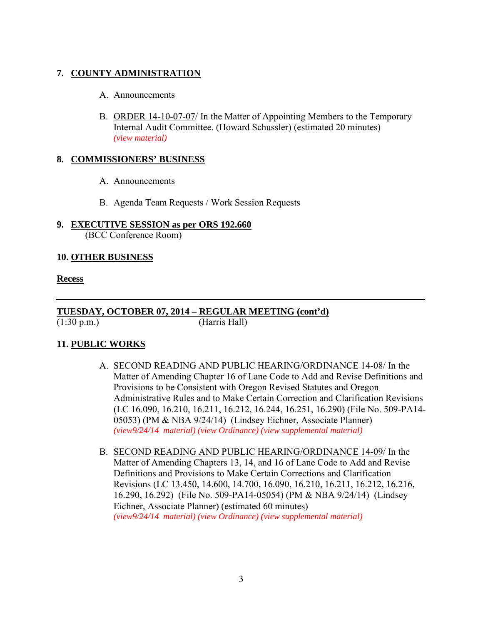# **7. COUNTY ADMINISTRATION**

- A. Announcements
- B. ORDER 14-10-07-07/ In the Matter of Appointing Members to the Temporary Internal Audit Committee. (Howard Schussler) (estimated 20 minutes) *[\(view material\)](http://www.lanecounty.org/UserFiles/Servers/Server_3585797/File/Government/BCC/2014/2014_AGENDAS/100714agenda/T.7.B.pdf)*

#### **8. COMMISSIONERS' BUSINESS**

- A. Announcements
- B. Agenda Team Requests / Work Session Requests

#### **9. EXECUTIVE SESSION as per ORS 192.660**  (BCC Conference Room)

#### **10. OTHER BUSINESS**

#### **Recess**

#### **TUESDAY, OCTOBER 07, 2014 – REGULAR MEETING (cont'd)** (1:30 p.m.) (Harris Hall)

## **11. PUBLIC WORKS**

- A. SECOND READING AND PUBLIC HEARING/ORDINANCE 14-08/ In the Matter of Amending Chapter 16 of Lane Code to Add and Revise Definitions and Provisions to be Consistent with Oregon Revised Statutes and Oregon Administrative Rules and to Make Certain Correction and Clarification Revisions (LC 16.090, 16.210, 16.211, 16.212, 16.244, 16.251, 16.290) (File No. 509-PA14- 05053) (PM & NBA 9/24/14) (Lindsey Eichner, Associate Planner) *[\(view9/24/14 material\)](http://www.lanecounty.org/UserFiles/Servers/Server_3585797/File/Government/BCC/2014/2014_AGENDAS/092314agenda/T.8.A.pdf) [\(view Ordinance\)](http://www.lanecounty.org/UserFiles/Servers/Server_3585797/File/Government/BCC/2014/2014_AGENDAS/092314agenda/T.8.Acode.pdf) [\(view supplemental material\)](http://www.lanecounty.org/UserFiles/Servers/Server_3585797/File/Government/BCC/2014/2014_AGENDAS/100714agenda/T.11.A.pdf)*
- B. SECOND READING AND PUBLIC HEARING/ORDINANCE 14-09/ In the Matter of Amending Chapters 13, 14, and 16 of Lane Code to Add and Revise Definitions and Provisions to Make Certain Corrections and Clarification Revisions (LC 13.450, 14.600, 14.700, 16.090, 16.210, 16.211, 16.212, 16.216, 16.290, 16.292) (File No. 509-PA14-05054) (PM & NBA 9/24/14) (Lindsey Eichner, Associate Planner) (estimated 60 minutes) *[\(view9/24/14 material\)](http://www.lanecounty.org/UserFiles/Servers/Server_3585797/File/Government/BCC/2014/2014_AGENDAS/092314agenda/T.8.A.pdf) [\(view Ordinance\)](http://www.lanecounty.org/UserFiles/Servers/Server_3585797/File/Government/BCC/2014/2014_AGENDAS/092314agenda/T.8.Bcode.pdf) [\(view supplemental material\)](http://www.lanecounty.org/UserFiles/Servers/Server_3585797/File/Government/BCC/2014/2014_AGENDAS/100714agenda/T.11.B.pdf)*